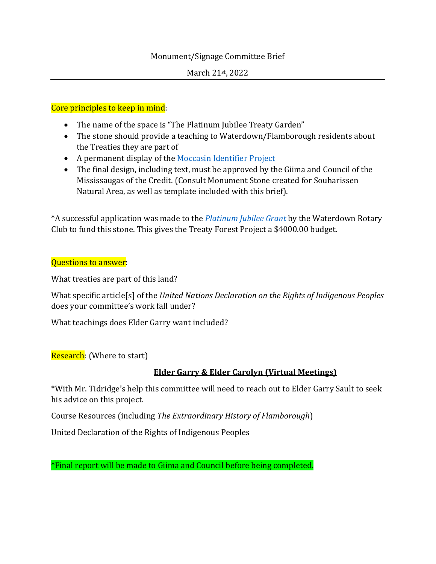## Monument/Signage Committee Brief

## Core principles to keep in mind:

- The name of the space is "The Platinum Jubilee Treaty Garden"
- The stone should provide a teaching to Waterdown/Flamborough residents about the Treaties they are part of
- A permanent display of the [Moccasin Identifier Project](https://moccasinidentifier.com/)
- The final design, including text, must be approved by the Giima and Council of the Mississaugas of the Credit. (Consult Monument Stone created for Souharissen Natural Area, as well as template included with this brief).

\*A successful application was made to the *[Platinum Jubilee Grant](https://www.canada.ca/en/canadian-heritage/services/funding/platinum-jubilee.html)* by the Waterdown Rotary Club to fund this stone. This gives the Treaty Forest Project a \$4000.00 budget.

## Questions to answer:

What treaties are part of this land?

What specific article[s] of the *United Nations Declaration on the Rights of Indigenous Peoples* does your committee's work fall under?

What teachings does Elder Garry want included?

Research: (Where to start)

## **Elder Garry & Elder Carolyn (Virtual Meetings)**

\*With Mr. Tidridge's help this committee will need to reach out to Elder Garry Sault to seek his advice on this project.

Course Resources (including *The Extraordinary History of Flamborough*)

United Declaration of the Rights of Indigenous Peoples

\*Final report will be made to Giima and Council before being completed.